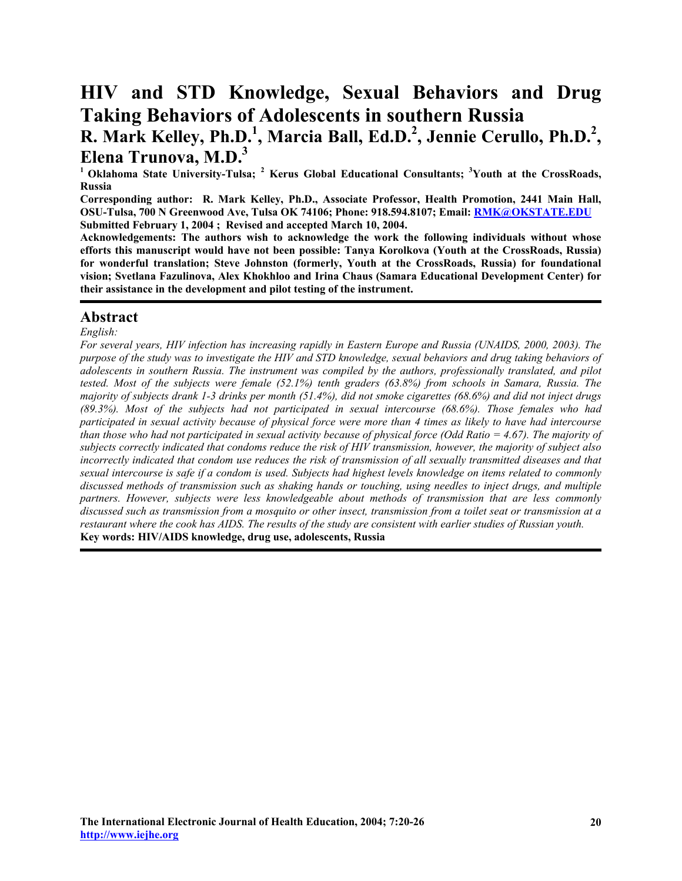# **HIV and STD Knowledge, Sexual Behaviors and Drug Taking Behaviors of Adolescents in southern Russia R. Mark Kelley, Ph.D.<sup>1</sup>, Marcia Ball, Ed.D.<sup>2</sup>, Jennie Cerullo, Ph.D.<sup>2</sup>, Elena Trunova, M.D.3**

<sup>1</sup> Oklahoma State University-Tulsa; <sup>2</sup> Kerus Global Educational Consultants; <sup>3</sup>Youth at the CrossRoads, **Russia** 

**Corresponding author: R. Mark Kelley, Ph.D., Associate Professor, Health Promotion, 2441 Main Hall, OSU-Tulsa, 700 N Greenwood Ave, Tulsa OK 74106; Phone: 918.594.8107; Ema[il: RMK@OKSTATE.EDU](mailto:rmk@okstate.edu)  Submitted February 1, 2004 ; Revised and accepted March 10, 2004.** 

**Acknowledgements: The authors wish to acknowledge the work the following individuals without whose efforts this manuscript would have not been possible: Tanya Korolkova (Youth at the CrossRoads, Russia) for wonderful translation; Steve Johnston (formerly, Youth at the CrossRoads, Russia) for foundational vision; Svetlana Fazulinova, Alex Khokhloo and Irina Chaus (Samara Educational Development Center) for their assistance in the development and pilot testing of the instrument.** 

# **Abstract**

*English:* 

*For several years, HIV infection has increasing rapidly in Eastern Europe and Russia (UNAIDS, 2000, 2003). The purpose of the study was to investigate the HIV and STD knowledge, sexual behaviors and drug taking behaviors of adolescents in southern Russia. The instrument was compiled by the authors, professionally translated, and pilot tested. Most of the subjects were female (52.1%) tenth graders (63.8%) from schools in Samara, Russia. The majority of subjects drank 1-3 drinks per month (51.4%), did not smoke cigarettes (68.6%) and did not inject drugs (89.3%). Most of the subjects had not participated in sexual intercourse (68.6%). Those females who had participated in sexual activity because of physical force were more than 4 times as likely to have had intercourse than those who had not participated in sexual activity because of physical force (Odd Ratio = 4.67). The majority of subjects correctly indicated that condoms reduce the risk of HIV transmission, however, the majority of subject also*  incorrectly indicated that condom use reduces the risk of transmission of all sexually transmitted diseases and that *sexual intercourse is safe if a condom is used. Subjects had highest levels knowledge on items related to commonly discussed methods of transmission such as shaking hands or touching, using needles to inject drugs, and multiple partners. However, subjects were less knowledgeable about methods of transmission that are less commonly discussed such as transmission from a mosquito or other insect, transmission from a toilet seat or transmission at a restaurant where the cook has AIDS. The results of the study are consistent with earlier studies of Russian youth.*  **Key words: HIV/AIDS knowledge, drug use, adolescents, Russia**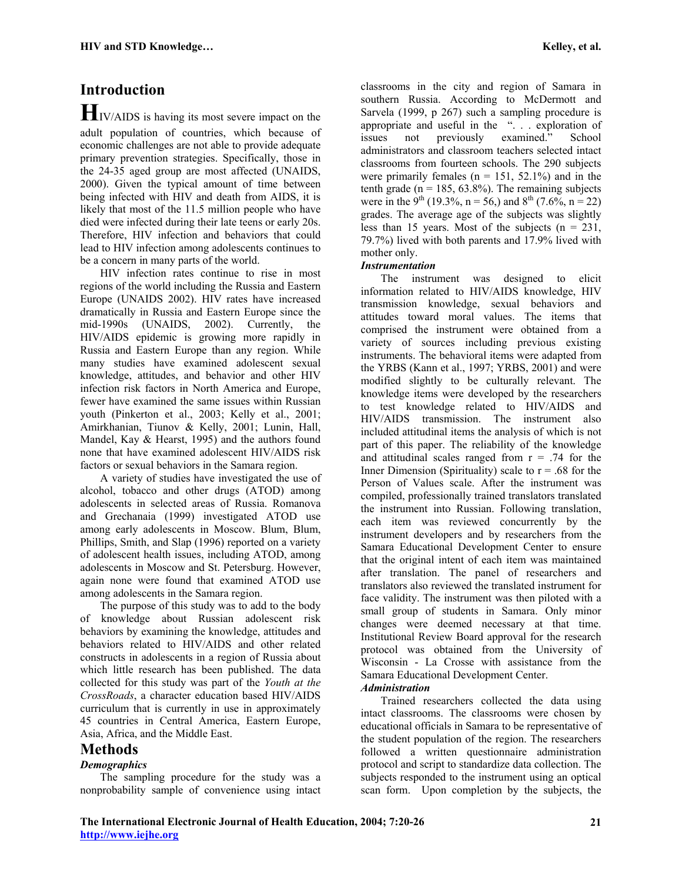# **Introduction**

**H**IV/AIDS is having its most severe impact on the adult population of countries, which because of economic challenges are not able to provide adequate primary prevention strategies. Specifically, those in the 24-35 aged group are most affected (UNAIDS, 2000). Given the typical amount of time between being infected with HIV and death from AIDS, it is likely that most of the 11.5 million people who have died were infected during their late teens or early 20s. Therefore, HIV infection and behaviors that could lead to HIV infection among adolescents continues to be a concern in many parts of the world.

 HIV infection rates continue to rise in most regions of the world including the Russia and Eastern Europe (UNAIDS 2002). HIV rates have increased dramatically in Russia and Eastern Europe since the mid-1990s (UNAIDS, 2002). Currently, the HIV/AIDS epidemic is growing more rapidly in Russia and Eastern Europe than any region. While many studies have examined adolescent sexual knowledge, attitudes, and behavior and other HIV infection risk factors in North America and Europe, fewer have examined the same issues within Russian youth (Pinkerton et al., 2003; Kelly et al., 2001; Amirkhanian, Tiunov & Kelly, 2001; Lunin, Hall, Mandel, Kay & Hearst, 1995) and the authors found none that have examined adolescent HIV/AIDS risk factors or sexual behaviors in the Samara region.

 A variety of studies have investigated the use of alcohol, tobacco and other drugs (ATOD) among adolescents in selected areas of Russia. Romanova and Grechanaia (1999) investigated ATOD use among early adolescents in Moscow. Blum, Blum, Phillips, Smith, and Slap (1996) reported on a variety of adolescent health issues, including ATOD, among adolescents in Moscow and St. Petersburg. However, again none were found that examined ATOD use among adolescents in the Samara region.

 The purpose of this study was to add to the body of knowledge about Russian adolescent risk behaviors by examining the knowledge, attitudes and behaviors related to HIV/AIDS and other related constructs in adolescents in a region of Russia about which little research has been published. The data collected for this study was part of the *Youth at the CrossRoads*, a character education based HIV/AIDS curriculum that is currently in use in approximately 45 countries in Central America, Eastern Europe, Asia, Africa, and the Middle East.

# **Methods**

#### *Demographics*

 The sampling procedure for the study was a nonprobability sample of convenience using intact classrooms in the city and region of Samara in southern Russia. According to McDermott and Sarvela (1999, p 267) such a sampling procedure is appropriate and useful in the ". . . exploration of issues not previously examined." School administrators and classroom teachers selected intact classrooms from fourteen schools. The 290 subjects were primarily females ( $n = 151, 52.1\%$ ) and in the tenth grade ( $n = 185, 63.8\%$ ). The remaining subjects were in the 9<sup>th</sup> (19.3%, n = 56,) and 8<sup>th</sup> (7.6%, n = 22) grades. The average age of the subjects was slightly less than 15 years. Most of the subjects  $(n = 231)$ , 79.7%) lived with both parents and 17.9% lived with mother only.

#### *Instrumentation*

 The instrument was designed to elicit information related to HIV/AIDS knowledge, HIV transmission knowledge, sexual behaviors and attitudes toward moral values. The items that comprised the instrument were obtained from a variety of sources including previous existing instruments. The behavioral items were adapted from the YRBS (Kann et al., 1997; YRBS, 2001) and were modified slightly to be culturally relevant. The knowledge items were developed by the researchers to test knowledge related to HIV/AIDS and HIV/AIDS transmission. The instrument also included attitudinal items the analysis of which is not part of this paper. The reliability of the knowledge and attitudinal scales ranged from  $r = .74$  for the Inner Dimension (Spirituality) scale to  $r = .68$  for the Person of Values scale. After the instrument was compiled, professionally trained translators translated the instrument into Russian. Following translation, each item was reviewed concurrently by the instrument developers and by researchers from the Samara Educational Development Center to ensure that the original intent of each item was maintained after translation. The panel of researchers and translators also reviewed the translated instrument for face validity. The instrument was then piloted with a small group of students in Samara. Only minor changes were deemed necessary at that time. Institutional Review Board approval for the research protocol was obtained from the University of Wisconsin - La Crosse with assistance from the Samara Educational Development Center. *Administration* 

 Trained researchers collected the data using intact classrooms. The classrooms were chosen by educational officials in Samara to be representative of the student population of the region. The researchers followed a written questionnaire administration protocol and script to standardize data collection. The subjects responded to the instrument using an optical scan form. Upon completion by the subjects, the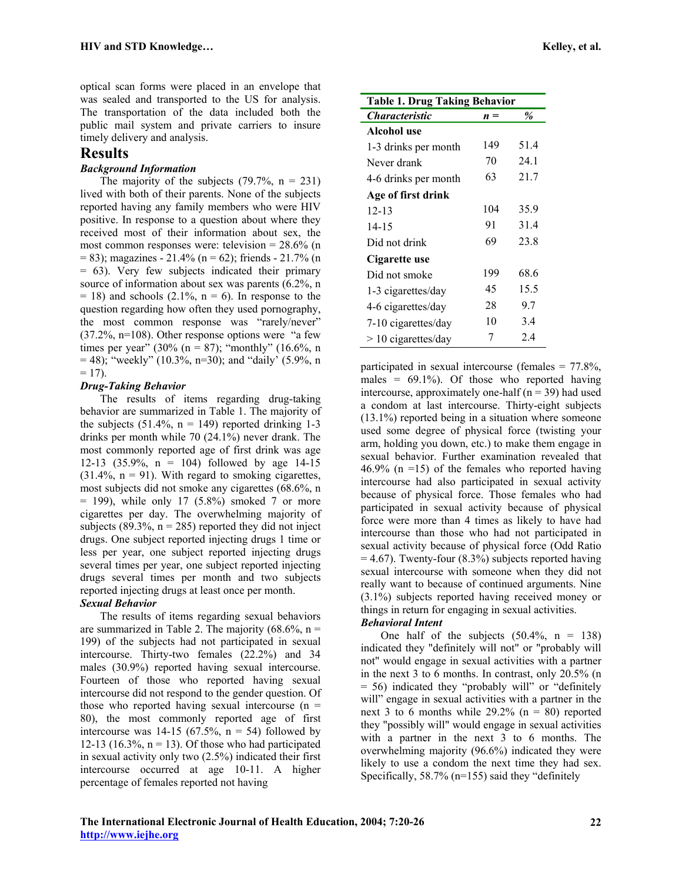optical scan forms were placed in an envelope that was sealed and transported to the US for analysis. The transportation of the data included both the public mail system and private carriers to insure timely delivery and analysis.

# **Results**

#### *Background Information*

The majority of the subjects  $(79.7\% \text{ n} = 231)$ lived with both of their parents. None of the subjects reported having any family members who were HIV positive. In response to a question about where they received most of their information about sex, the most common responses were: television =  $28.6\%$  (n  $= 83$ ); magazines - 21.4% (n = 62); friends - 21.7% (n = 63). Very few subjects indicated their primary source of information about sex was parents (6.2%, n  $= 18$ ) and schools (2.1%, n = 6). In response to the question regarding how often they used pornography, the most common response was "rarely/never" (37.2%, n=108). Other response options were "a few times per year" (30% (n = 87); "monthly" (16.6%, n  $=$  48); "weekly" (10.3%, n=30); and "daily" (5.9%, n  $= 17$ ).

#### *Drug-Taking Behavior*

 The results of items regarding drug-taking behavior are summarized in Table 1. The majority of the subjects  $(51.4\%), n = 149$  reported drinking 1-3 drinks per month while 70 (24.1%) never drank. The most commonly reported age of first drink was age 12-13 (35.9%, n = 104) followed by age 14-15  $(31.4\% \, n = 91)$ . With regard to smoking cigarettes, most subjects did not smoke any cigarettes (68.6%, n  $=$  199), while only 17 (5.8%) smoked 7 or more cigarettes per day. The overwhelming majority of subjects (89.3%,  $n = 285$ ) reported they did not inject drugs. One subject reported injecting drugs 1 time or less per year, one subject reported injecting drugs several times per year, one subject reported injecting drugs several times per month and two subjects reported injecting drugs at least once per month.

#### *Sexual Behavior*

 The results of items regarding sexual behaviors are summarized in Table 2. The majority  $(68.6\%), n =$ 199) of the subjects had not participated in sexual intercourse. Thirty-two females (22.2%) and 34 males (30.9%) reported having sexual intercourse. Fourteen of those who reported having sexual intercourse did not respond to the gender question. Of those who reported having sexual intercourse  $(n =$ 80), the most commonly reported age of first intercourse was  $14-15$  (67.5%, n = 54) followed by 12-13 (16.3%,  $n = 13$ ). Of those who had participated in sexual activity only two (2.5%) indicated their first intercourse occurred at age 10-11. A higher percentage of females reported not having

| <b>Table 1. Drug Taking Behavior</b> |       |      |  |
|--------------------------------------|-------|------|--|
| <i><b>Characteristic</b></i>         | $n =$ | %    |  |
| Alcohol use                          |       |      |  |
| 1-3 drinks per month                 | 149   | 51.4 |  |
| Never drank                          | 70    | 24.1 |  |
| 4-6 drinks per month                 | 63    | 21.7 |  |
| Age of first drink                   |       |      |  |
| $12 - 13$                            | 104   | 35.9 |  |
| $14 - 15$                            | 91    | 31.4 |  |
| Did not drink                        | 69    | 23.8 |  |
| Cigarette use                        |       |      |  |
| Did not smoke                        | 199   | 68.6 |  |
| 1-3 cigarettes/day                   | 45    | 15.5 |  |
| 4-6 cigarettes/day                   | 28    | 9.7  |  |
| 7-10 cigarettes/day                  | 10    | 3.4  |  |
| $> 10$ cigarettes/day                | 7     | 2.4  |  |

participated in sexual intercourse (females = 77.8%, males =  $69.1\%$ ). Of those who reported having intercourse, approximately one-half ( $n = 39$ ) had used a condom at last intercourse. Thirty-eight subjects (13.1%) reported being in a situation where someone used some degree of physical force (twisting your arm, holding you down, etc.) to make them engage in sexual behavior. Further examination revealed that  $46.9\%$  (n =15) of the females who reported having intercourse had also participated in sexual activity because of physical force. Those females who had participated in sexual activity because of physical force were more than 4 times as likely to have had intercourse than those who had not participated in sexual activity because of physical force (Odd Ratio  $= 4.67$ ). Twenty-four (8.3%) subjects reported having sexual intercourse with someone when they did not really want to because of continued arguments. Nine (3.1%) subjects reported having received money or things in return for engaging in sexual activities.

#### *Behavioral Intent*

One half of the subjects  $(50.4\%, n = 138)$ indicated they "definitely will not" or "probably will not" would engage in sexual activities with a partner in the next 3 to 6 months. In contrast, only 20.5% (n = 56) indicated they "probably will" or "definitely will" engage in sexual activities with a partner in the next 3 to 6 months while  $29.2\%$  (n = 80) reported they "possibly will" would engage in sexual activities with a partner in the next 3 to 6 months. The overwhelming majority (96.6%) indicated they were likely to use a condom the next time they had sex. Specifically, 58.7% (n=155) said they "definitely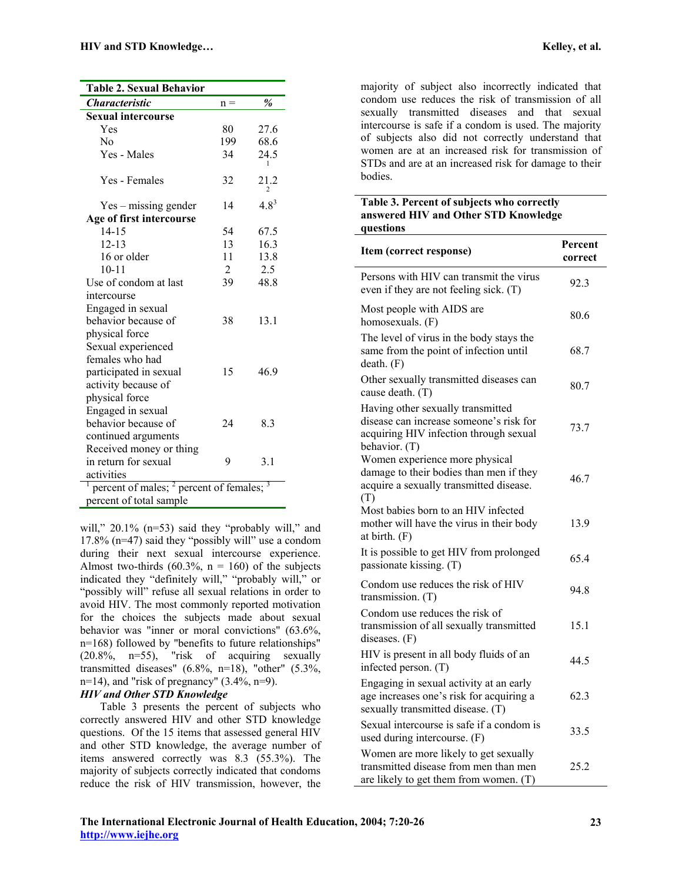| <b>Table 2. Sexual Behavior</b>                      |       |                        |
|------------------------------------------------------|-------|------------------------|
| <i><b>Characteristic</b></i>                         | $n =$ | %                      |
| <b>Sexual intercourse</b>                            |       |                        |
| Yes                                                  | 80    | 27.6                   |
| No                                                   | 199   | 68.6                   |
| Yes - Males                                          | 34    | 24.5                   |
| Yes - Females                                        | 32    | 21.2<br>$\overline{c}$ |
| $Yes - missing gender$                               | 14    | $4.8^{3}$              |
| Age of first intercourse                             |       |                        |
| 14-15                                                | 54    | 67.5                   |
| $12 - 13$                                            | 13    | 16.3                   |
| 16 or older                                          | 11    | 13.8                   |
| $10 - 11$                                            | 2     | 2.5                    |
| Use of condom at last                                | 39    | 48.8                   |
| intercourse                                          |       |                        |
| Engaged in sexual                                    |       |                        |
| behavior because of                                  | 38    | 13.1                   |
| physical force                                       |       |                        |
| Sexual experienced                                   |       |                        |
| females who had                                      |       |                        |
| participated in sexual                               | 15    | 46.9                   |
| activity because of                                  |       |                        |
| physical force                                       |       |                        |
| Engaged in sexual                                    |       |                        |
| behavior because of                                  | 24    | 8.3                    |
| continued arguments                                  |       |                        |
| Received money or thing                              |       |                        |
| in return for sexual                                 | 9     | 3.1                    |
| activities                                           |       |                        |
| Γ<br>percent of males; $2^2$ percent of females; $3$ |       |                        |
| $\sqrt{C}$<br>$\mathbf{1}$                           |       |                        |

percent of total sample

will," 20.1% (n=53) said they "probably will," and 17.8% (n=47) said they "possibly will" use a condom during their next sexual intercourse experience. Almost two-thirds (60.3%,  $n = 160$ ) of the subjects indicated they "definitely will," "probably will," or "possibly will" refuse all sexual relations in order to avoid HIV. The most commonly reported motivation for the choices the subjects made about sexual behavior was "inner or moral convictions" (63.6%, n=168) followed by "benefits to future relationships"  $(20.8\%$ , n=55), "risk of acquiring sexually transmitted diseases"  $(6.8\%, n=18)$ , "other"  $(5.3\%,$ n=14), and "risk of pregnancy"  $(3.4\%, n=9)$ .

#### *HIV and Other STD Knowledge*

 Table 3 presents the percent of subjects who correctly answered HIV and other STD knowledge questions. Of the 15 items that assessed general HIV and other STD knowledge, the average number of items answered correctly was 8.3 (55.3%). The majority of subjects correctly indicated that condoms reduce the risk of HIV transmission, however, the

majority of subject also incorrectly indicated that condom use reduces the risk of transmission of all sexually transmitted diseases and that sexual intercourse is safe if a condom is used. The majority of subjects also did not correctly understand that women are at an increased risk for transmission of STDs and are at an increased risk for damage to their bodies.

#### **Table 3. Percent of subjects who correctly answered HIV and Other STD Knowledge questions**

| Item (correct response)                                                                                                                 | Percent<br>correct |
|-----------------------------------------------------------------------------------------------------------------------------------------|--------------------|
| Persons with HIV can transmit the virus<br>even if they are not feeling sick. (T)                                                       | 92.3               |
| Most people with AIDS are<br>homosexuals. (F)                                                                                           | 80.6               |
| The level of virus in the body stays the<br>same from the point of infection until<br>death. (F)                                        | 68.7               |
| Other sexually transmitted diseases can<br>cause death. (T)                                                                             | 80.7               |
| Having other sexually transmitted<br>disease can increase someone's risk for<br>acquiring HIV infection through sexual<br>behavior. (T) | 73.7               |
| Women experience more physical<br>damage to their bodies than men if they<br>acquire a sexually transmitted disease.<br>(T)             | 46.7               |
| Most babies born to an HIV infected<br>mother will have the virus in their body<br>at birth. $(F)$                                      | 13.9               |
| It is possible to get HIV from prolonged<br>passionate kissing. (T)                                                                     | 65.4               |
| Condom use reduces the risk of HIV<br>transmission. $(T)$                                                                               | 94.8               |
| Condom use reduces the risk of<br>transmission of all sexually transmitted<br>diseases. $(F)$                                           | 15.1               |
| HIV is present in all body fluids of an<br>infected person. (T)                                                                         | 44.5               |
| Engaging in sexual activity at an early<br>age increases one's risk for acquiring a<br>sexually transmitted disease. (T)                | 62.3               |
| Sexual intercourse is safe if a condom is<br>used during intercourse. (F)                                                               | 33.5               |
| Women are more likely to get sexually<br>transmitted disease from men than men<br>are likely to get them from women. (T)                | 25.2               |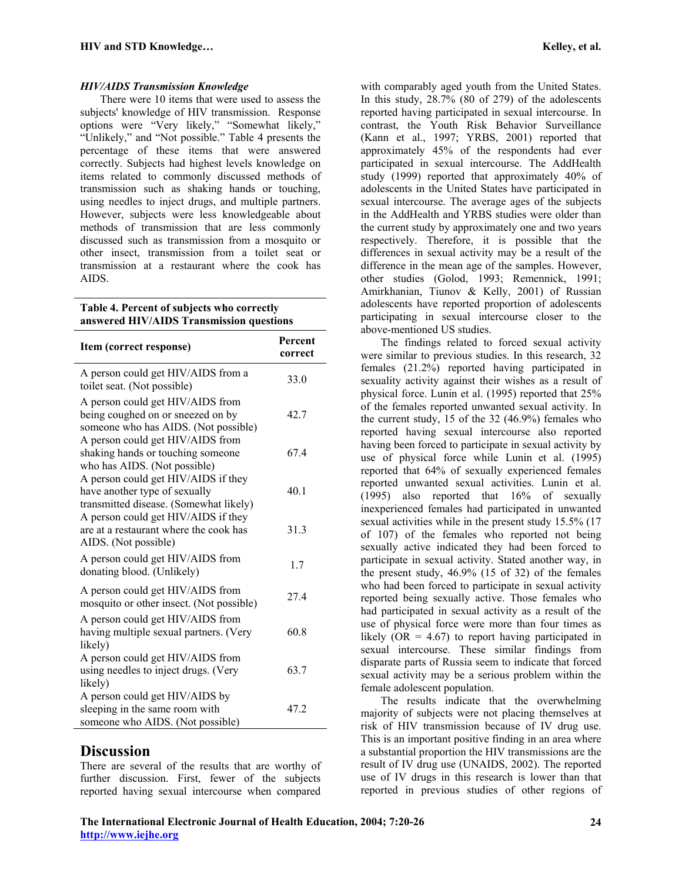#### *HIV/AIDS Transmission Knowledge*

 There were 10 items that were used to assess the subjects' knowledge of HIV transmission. Response options were "Very likely," "Somewhat likely," "Unlikely," and "Not possible." Table 4 presents the percentage of these items that were answered correctly. Subjects had highest levels knowledge on items related to commonly discussed methods of transmission such as shaking hands or touching, using needles to inject drugs, and multiple partners. However, subjects were less knowledgeable about methods of transmission that are less commonly discussed such as transmission from a mosquito or other insect, transmission from a toilet seat or transmission at a restaurant where the cook has AIDS.

**Table 4. Percent of subjects who correctly answered HIV/AIDS Transmission questions** 

| Item (correct response)                                                                                        | Percent<br>correct |
|----------------------------------------------------------------------------------------------------------------|--------------------|
| A person could get HIV/AIDS from a<br>toilet seat. (Not possible)                                              | 33.0               |
| A person could get HIV/AIDS from<br>being coughed on or sneezed on by<br>someone who has AIDS. (Not possible)  | 42.7               |
| A person could get HIV/AIDS from<br>shaking hands or touching someone<br>who has AIDS. (Not possible)          | 67.4               |
| A person could get HIV/AIDS if they<br>have another type of sexually<br>transmitted disease. (Somewhat likely) | 40.1               |
| A person could get HIV/AIDS if they<br>are at a restaurant where the cook has<br>AIDS. (Not possible)          | 31.3               |
| A person could get HIV/AIDS from<br>donating blood. (Unlikely)                                                 | 1.7                |
| A person could get HIV/AIDS from<br>mosquito or other insect. (Not possible)                                   | 27.4               |
| A person could get HIV/AIDS from<br>having multiple sexual partners. (Very<br>likely)                          | 60.8               |
| A person could get HIV/AIDS from<br>using needles to inject drugs. (Very<br>likely)                            | 63.7               |
| A person could get HIV/AIDS by<br>sleeping in the same room with<br>someone who AIDS. (Not possible)           | 47.2               |

# **Discussion**

There are several of the results that are worthy of further discussion. First, fewer of the subjects reported having sexual intercourse when compared

with comparably aged youth from the United States. In this study, 28.7% (80 of 279) of the adolescents reported having participated in sexual intercourse. In contrast, the Youth Risk Behavior Surveillance (Kann et al., 1997; YRBS, 2001) reported that approximately 45% of the respondents had ever participated in sexual intercourse. The AddHealth study (1999) reported that approximately 40% of adolescents in the United States have participated in sexual intercourse. The average ages of the subjects in the AddHealth and YRBS studies were older than the current study by approximately one and two years respectively. Therefore, it is possible that the differences in sexual activity may be a result of the difference in the mean age of the samples. However, other studies (Golod, 1993; Remennick, 1991; Amirkhanian, Tiunov & Kelly, 2001) of Russian adolescents have reported proportion of adolescents participating in sexual intercourse closer to the above-mentioned US studies.

 The findings related to forced sexual activity were similar to previous studies. In this research, 32 females (21.2%) reported having participated in sexuality activity against their wishes as a result of physical force. Lunin et al. (1995) reported that 25% of the females reported unwanted sexual activity. In the current study, 15 of the 32 (46.9%) females who reported having sexual intercourse also reported having been forced to participate in sexual activity by use of physical force while Lunin et al. (1995) reported that 64% of sexually experienced females reported unwanted sexual activities. Lunin et al. (1995) also reported that 16% of sexually inexperienced females had participated in unwanted sexual activities while in the present study 15.5% (17 of 107) of the females who reported not being sexually active indicated they had been forced to participate in sexual activity. Stated another way, in the present study, 46.9% (15 of 32) of the females who had been forced to participate in sexual activity reported being sexually active. Those females who had participated in sexual activity as a result of the use of physical force were more than four times as likely  $(OR = 4.67)$  to report having participated in sexual intercourse. These similar findings from disparate parts of Russia seem to indicate that forced sexual activity may be a serious problem within the female adolescent population.

 The results indicate that the overwhelming majority of subjects were not placing themselves at risk of HIV transmission because of IV drug use. This is an important positive finding in an area where a substantial proportion the HIV transmissions are the result of IV drug use (UNAIDS, 2002). The reported use of IV drugs in this research is lower than that reported in previous studies of other regions of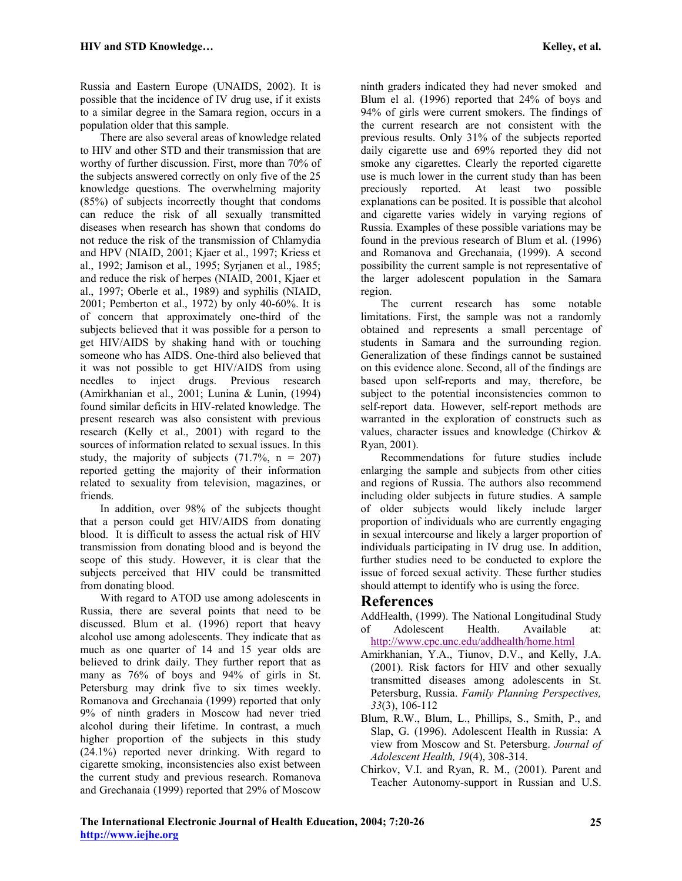Russia and Eastern Europe (UNAIDS, 2002). It is possible that the incidence of IV drug use, if it exists to a similar degree in the Samara region, occurs in a population older that this sample.

 There are also several areas of knowledge related to HIV and other STD and their transmission that are worthy of further discussion. First, more than 70% of the subjects answered correctly on only five of the 25 knowledge questions. The overwhelming majority (85%) of subjects incorrectly thought that condoms can reduce the risk of all sexually transmitted diseases when research has shown that condoms do not reduce the risk of the transmission of Chlamydia and HPV (NIAID, 2001; Kjaer et al., 1997; Kriess et al., 1992; Jamison et al., 1995; Syrjanen et al., 1985; and reduce the risk of herpes (NIAID, 2001, Kjaer et al., 1997; Oberle et al., 1989) and syphilis (NIAID, 2001; Pemberton et al., 1972) by only 40-60%. It is of concern that approximately one-third of the subjects believed that it was possible for a person to get HIV/AIDS by shaking hand with or touching someone who has AIDS. One-third also believed that it was not possible to get HIV/AIDS from using needles to inject drugs. Previous research (Amirkhanian et al., 2001; Lunina & Lunin, (1994) found similar deficits in HIV-related knowledge. The present research was also consistent with previous research (Kelly et al., 2001) with regard to the sources of information related to sexual issues. In this study, the majority of subjects  $(71.7\%), n = 207$ reported getting the majority of their information related to sexuality from television, magazines, or friends.

 In addition, over 98% of the subjects thought that a person could get HIV/AIDS from donating blood. It is difficult to assess the actual risk of HIV transmission from donating blood and is beyond the scope of this study. However, it is clear that the subjects perceived that HIV could be transmitted from donating blood.

 With regard to ATOD use among adolescents in Russia, there are several points that need to be discussed. Blum et al. (1996) report that heavy alcohol use among adolescents. They indicate that as much as one quarter of 14 and 15 year olds are believed to drink daily. They further report that as many as 76% of boys and 94% of girls in St. Petersburg may drink five to six times weekly. Romanova and Grechanaia (1999) reported that only 9% of ninth graders in Moscow had never tried alcohol during their lifetime. In contrast, a much higher proportion of the subjects in this study (24.1%) reported never drinking. With regard to cigarette smoking, inconsistencies also exist between the current study and previous research. Romanova and Grechanaia (1999) reported that 29% of Moscow

ninth graders indicated they had never smoked and Blum el al. (1996) reported that 24% of boys and 94% of girls were current smokers. The findings of the current research are not consistent with the previous results. Only 31% of the subjects reported daily cigarette use and 69% reported they did not smoke any cigarettes. Clearly the reported cigarette use is much lower in the current study than has been preciously reported. At least two possible explanations can be posited. It is possible that alcohol and cigarette varies widely in varying regions of Russia. Examples of these possible variations may be found in the previous research of Blum et al. (1996) and Romanova and Grechanaia, (1999). A second possibility the current sample is not representative of the larger adolescent population in the Samara region.

 The current research has some notable limitations. First, the sample was not a randomly obtained and represents a small percentage of students in Samara and the surrounding region. Generalization of these findings cannot be sustained on this evidence alone. Second, all of the findings are based upon self-reports and may, therefore, be subject to the potential inconsistencies common to self-report data. However, self-report methods are warranted in the exploration of constructs such as values, character issues and knowledge (Chirkov & Ryan, 2001).

 Recommendations for future studies include enlarging the sample and subjects from other cities and regions of Russia. The authors also recommend including older subjects in future studies. A sample of older subjects would likely include larger proportion of individuals who are currently engaging in sexual intercourse and likely a larger proportion of individuals participating in IV drug use. In addition, further studies need to be conducted to explore the issue of forced sexual activity. These further studies should attempt to identify who is using the force.

# **References**

- AddHealth, (1999). The National Longitudinal Study of Adolescent Health. Available at: <http://www.cpc.unc.edu/addhealth/home.html>
- Amirkhanian, Y.A., Tiunov, D.V., and Kelly, J.A. (2001). Risk factors for HIV and other sexually transmitted diseases among adolescents in St. Petersburg, Russia. *Family Planning Perspectives, 33*(3), 106-112
- Blum, R.W., Blum, L., Phillips, S., Smith, P., and Slap, G. (1996). Adolescent Health in Russia: A view from Moscow and St. Petersburg. *Journal of Adolescent Health, 19*(4), 308-314.
- Chirkov, V.I. and Ryan, R. M., (2001). Parent and Teacher Autonomy-support in Russian and U.S.